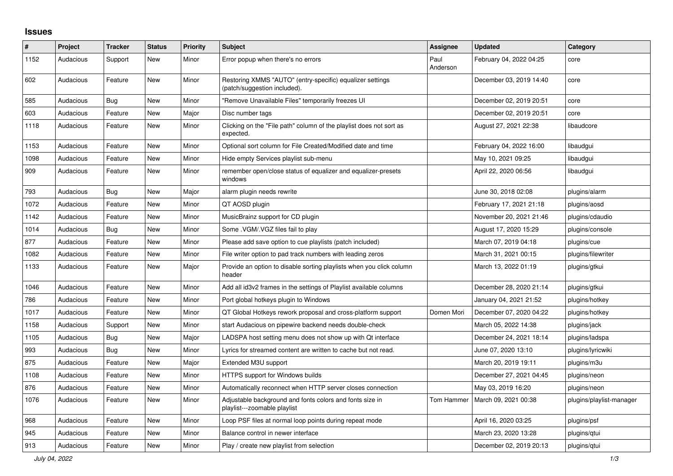## **Issues**

| #    | <b>Project</b> | <b>Tracker</b> | <b>Status</b> | <b>Priority</b> | <b>Subject</b>                                                                            | Assignee         | <b>Updated</b>          | Category                 |
|------|----------------|----------------|---------------|-----------------|-------------------------------------------------------------------------------------------|------------------|-------------------------|--------------------------|
| 1152 | Audacious      | Support        | <b>New</b>    | Minor           | Error popup when there's no errors                                                        | Paul<br>Anderson | February 04, 2022 04:25 | core                     |
| 602  | Audacious      | Feature        | <b>New</b>    | Minor           | Restoring XMMS "AUTO" (entry-specific) equalizer settings<br>(patch/suggestion included). |                  | December 03, 2019 14:40 | core                     |
| 585  | Audacious      | <b>Bug</b>     | <b>New</b>    | Minor           | "Remove Unavailable Files" temporarily freezes UI                                         |                  | December 02, 2019 20:51 | core                     |
| 603  | Audacious      | Feature        | <b>New</b>    | Major           | Disc number tags                                                                          |                  | December 02, 2019 20:51 | core                     |
| 1118 | Audacious      | Feature        | <b>New</b>    | Minor           | Clicking on the "File path" column of the playlist does not sort as<br>expected.          |                  | August 27, 2021 22:38   | libaudcore               |
| 1153 | Audacious      | Feature        | <b>New</b>    | Minor           | Optional sort column for File Created/Modified date and time                              |                  | February 04, 2022 16:00 | libaudgui                |
| 1098 | Audacious      | Feature        | <b>New</b>    | Minor           | Hide empty Services playlist sub-menu                                                     |                  | May 10, 2021 09:25      | libaudgui                |
| 909  | Audacious      | Feature        | <b>New</b>    | Minor           | remember open/close status of equalizer and equalizer-presets<br>windows                  |                  | April 22, 2020 06:56    | libaudgui                |
| 793  | Audacious      | Bug            | <b>New</b>    | Major           | alarm plugin needs rewrite                                                                |                  | June 30, 2018 02:08     | plugins/alarm            |
| 1072 | Audacious      | Feature        | <b>New</b>    | Minor           | QT AOSD plugin                                                                            |                  | February 17, 2021 21:18 | plugins/aosd             |
| 1142 | Audacious      | Feature        | <b>New</b>    | Minor           | MusicBrainz support for CD plugin                                                         |                  | November 20, 2021 21:46 | plugins/cdaudio          |
| 1014 | Audacious      | Bug            | New           | Minor           | Some .VGM/.VGZ files fail to play                                                         |                  | August 17, 2020 15:29   | plugins/console          |
| 877  | Audacious      | Feature        | New           | Minor           | Please add save option to cue playlists (patch included)                                  |                  | March 07, 2019 04:18    | plugins/cue              |
| 1082 | Audacious      | Feature        | <b>New</b>    | Minor           | File writer option to pad track numbers with leading zeros                                |                  | March 31, 2021 00:15    | plugins/filewriter       |
| 1133 | Audacious      | Feature        | New           | Major           | Provide an option to disable sorting playlists when you click column<br>header            |                  | March 13, 2022 01:19    | plugins/gtkui            |
| 1046 | Audacious      | Feature        | <b>New</b>    | Minor           | Add all id3v2 frames in the settings of Playlist available columns                        |                  | December 28, 2020 21:14 | plugins/gtkui            |
| 786  | Audacious      | Feature        | New           | Minor           | Port global hotkeys plugin to Windows                                                     |                  | January 04, 2021 21:52  | plugins/hotkey           |
| 1017 | Audacious      | Feature        | <b>New</b>    | Minor           | QT Global Hotkeys rework proposal and cross-platform support                              | Domen Mori       | December 07, 2020 04:22 | plugins/hotkey           |
| 1158 | Audacious      | Support        | <b>New</b>    | Minor           | start Audacious on pipewire backend needs double-check                                    |                  | March 05, 2022 14:38    | plugins/jack             |
| 1105 | Audacious      | Bug            | <b>New</b>    | Major           | LADSPA host setting menu does not show up with Qt interface                               |                  | December 24, 2021 18:14 | plugins/ladspa           |
| 993  | Audacious      | <b>Bug</b>     | <b>New</b>    | Minor           | Lyrics for streamed content are written to cache but not read.                            |                  | June 07, 2020 13:10     | plugins/lyricwiki        |
| 875  | Audacious      | Feature        | <b>New</b>    | Major           | Extended M3U support                                                                      |                  | March 20, 2019 19:11    | plugins/m3u              |
| 1108 | Audacious      | Feature        | <b>New</b>    | Minor           | HTTPS support for Windows builds                                                          |                  | December 27, 2021 04:45 | plugins/neon             |
| 876  | Audacious      | Feature        | <b>New</b>    | Minor           | Automatically reconnect when HTTP server closes connection                                |                  | May 03, 2019 16:20      | plugins/neon             |
| 1076 | Audacious      | Feature        | <b>New</b>    | Minor           | Adjustable background and fonts colors and fonts size in<br>playlist---zoomable playlist  | Tom Hammer       | March 09, 2021 00:38    | plugins/playlist-manager |
| 968  | Audacious      | Feature        | New           | Minor           | Loop PSF files at normal loop points during repeat mode                                   |                  | April 16, 2020 03:25    | plugins/psf              |
| 945  | Audacious      | Feature        | <b>New</b>    | Minor           | Balance control in newer interface                                                        |                  | March 23, 2020 13:28    | plugins/gtui             |
| 913  | Audacious      | Feature        | <b>New</b>    | Minor           | Play / create new playlist from selection                                                 |                  | December 02, 2019 20:13 | plugins/qtui             |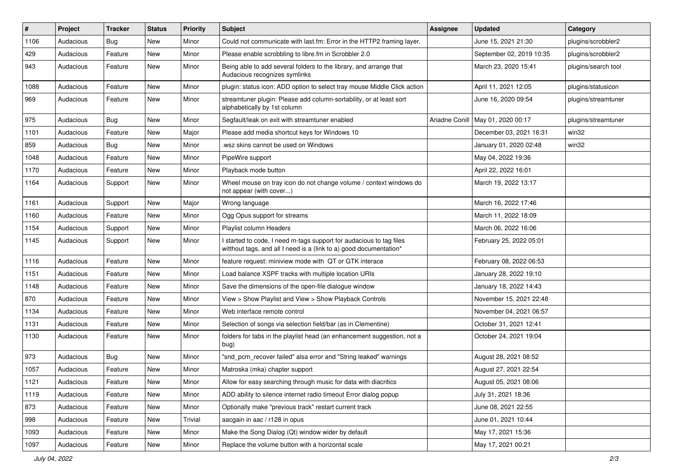| $\#$ | Project   | <b>Tracker</b> | <b>Status</b> | <b>Priority</b> | <b>Subject</b>                                                                                                                            | Assignee       | <b>Updated</b>           | Category            |
|------|-----------|----------------|---------------|-----------------|-------------------------------------------------------------------------------------------------------------------------------------------|----------------|--------------------------|---------------------|
| 1106 | Audacious | <b>Bug</b>     | New           | Minor           | Could not communicate with last.fm: Error in the HTTP2 framing layer.                                                                     |                | June 15, 2021 21:30      | plugins/scrobbler2  |
| 429  | Audacious | Feature        | <b>New</b>    | Minor           | Please enable scrobbling to libre.fm in Scrobbler 2.0                                                                                     |                | September 02, 2019 10:35 | plugins/scrobbler2  |
| 943  | Audacious | Feature        | New           | Minor           | Being able to add several folders to the library, and arrange that<br>Audacious recognizes symlinks                                       |                | March 23, 2020 15:41     | plugins/search tool |
| 1088 | Audacious | Feature        | New           | Minor           | plugin: status icon: ADD option to select tray mouse Middle Click action                                                                  |                | April 11, 2021 12:05     | plugins/statusicon  |
| 969  | Audacious | Feature        | New           | Minor           | streamtuner plugin: Please add column-sortability, or at least sort<br>alphabetically by 1st column                                       |                | June 16, 2020 09:54      | plugins/streamtuner |
| 975  | Audacious | Bug            | New           | Minor           | Segfault/leak on exit with streamtuner enabled                                                                                            | Ariadne Conill | May 01, 2020 00:17       | plugins/streamtuner |
| 1101 | Audacious | Feature        | New           | Major           | Please add media shortcut keys for Windows 10                                                                                             |                | December 03, 2021 16:31  | win32               |
| 859  | Audacious | <b>Bug</b>     | <b>New</b>    | Minor           | .wsz skins cannot be used on Windows                                                                                                      |                | January 01, 2020 02:48   | win32               |
| 1048 | Audacious | Feature        | New           | Minor           | PipeWire support                                                                                                                          |                | May 04, 2022 19:36       |                     |
| 1170 | Audacious | Feature        | New           | Minor           | Playback mode button                                                                                                                      |                | April 22, 2022 16:01     |                     |
| 1164 | Audacious | Support        | New           | Minor           | Wheel mouse on tray icon do not change volume / context windows do<br>not appear (with cover)                                             |                | March 19, 2022 13:17     |                     |
| 1161 | Audacious | Support        | New           | Major           | Wrong language                                                                                                                            |                | March 16, 2022 17:46     |                     |
| 1160 | Audacious | Feature        | New           | Minor           | Ogg Opus support for streams                                                                                                              |                | March 11, 2022 18:09     |                     |
| 1154 | Audacious | Support        | New           | Minor           | Playlist column Headers                                                                                                                   |                | March 06, 2022 16:06     |                     |
| 1145 | Audacious | Support        | <b>New</b>    | Minor           | I started to code, I need m-tags support for audacious to tag files<br>witthout tags, and all I need is a (link to a) good documentation* |                | February 25, 2022 05:01  |                     |
| 1116 | Audacious | Feature        | New           | Minor           | feature request: miniview mode with QT or GTK interace                                                                                    |                | February 08, 2022 06:53  |                     |
| 1151 | Audacious | Feature        | New           | Minor           | Load balance XSPF tracks with multiple location URIs                                                                                      |                | January 28, 2022 19:10   |                     |
| 1148 | Audacious | Feature        | New           | Minor           | Save the dimensions of the open-file dialogue window                                                                                      |                | January 18, 2022 14:43   |                     |
| 870  | Audacious | Feature        | <b>New</b>    | Minor           | View > Show Playlist and View > Show Playback Controls                                                                                    |                | November 15, 2021 22:48  |                     |
| 1134 | Audacious | Feature        | New           | Minor           | Web interface remote control                                                                                                              |                | November 04, 2021 06:57  |                     |
| 1131 | Audacious | Feature        | New           | Minor           | Selection of songs via selection field/bar (as in Clementine)                                                                             |                | October 31, 2021 12:41   |                     |
| 1130 | Audacious | Feature        | New           | Minor           | folders for tabs in the playlist head (an enhancement suggestion, not a<br>bug)                                                           |                | October 24, 2021 19:04   |                     |
| 973  | Audacious | Bug            | New           | Minor           | "snd pcm recover failed" alsa error and "String leaked" warnings                                                                          |                | August 28, 2021 08:52    |                     |
| 1057 | Audacious | Feature        | New           | Minor           | Matroska (mka) chapter support                                                                                                            |                | August 27, 2021 22:54    |                     |
| 1121 | Audacious | Feature        | New           | Minor           | Allow for easy searching through music for data with diacritics                                                                           |                | August 05, 2021 08:06    |                     |
| 1119 | Audacious | Feature        | New           | Minor           | ADD ability to silence internet radio timeout Error dialog popup                                                                          |                | July 31, 2021 18:36      |                     |
| 873  | Audacious | Feature        | New           | Minor           | Optionally make "previous track" restart current track                                                                                    |                | June 08, 2021 22:55      |                     |
| 998  | Audacious | Feature        | New           | Trivial         | aacgain in aac / r128 in opus                                                                                                             |                | June 01, 2021 10:44      |                     |
| 1093 | Audacious | Feature        | New           | Minor           | Make the Song Dialog (Qt) window wider by default                                                                                         |                | May 17, 2021 15:36       |                     |
| 1097 | Audacious | Feature        | New           | Minor           | Replace the volume button with a horizontal scale                                                                                         |                | May 17, 2021 00:21       |                     |